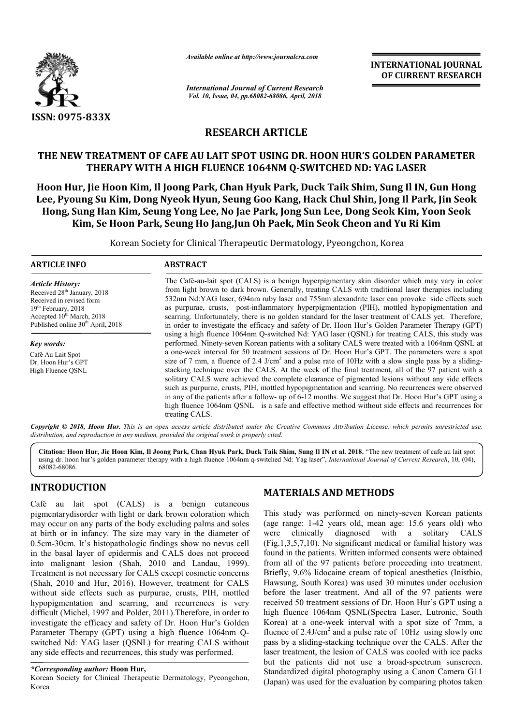

*Available online at http://www.journalcra.com*

*International Journal of Current Research Vol. 10, Issue, 04, pp.68082-68086, April, 2018*

**INTERNATIONAL JOURNAL OF CURRENT RESEARCH**

# **RESEARCH ARTICLE**

## **THE NEW TREATMENT OF CAFE AU LAIT SPOT USING DR. HOON HUR'S GOLDEN PARAMETER THERAPY WITH A HIGH FLUENCE 1064NM Q Q-SWITCHED ND: TREATMENT OF AU LAIT SPOT SWITCHED YAG LASER**

**Hoon Hur, Jie Hoon Kim, Il Joong Park, Chan Hyuk Park, Duck Taik Shim, Sung Il IN, Gun Hong**  Hoon Hur, Jie Hoon Kim, Il Joong Park, Chan Hyuk Park, Duck Taik Shim, Sung Il IN, Gun Hong<br>Lee, Pyoung Su Kim, Dong Nyeok Hyun, Seung Goo Kang, Hack Chul Shin, Jong Il Park, Jin Seok **Hong, Sung Han Kim, Seung Yong Lee, No Jae Park, Jong Sun Lee, Dong Seok Kim, Yoon Seok Kim, Se Hoon Park, Seung Ho Jang,Jun Oh Paek, Min Seok Cheon and Yu Ri Kim and Yu Ri Kim**

Korean Society for Clinical Therapeutic Dermatology, Pyeongchon, Korea Therapeutic Pyeongchon, Korea

## **ARTICLE INFO ABSTRACT**

*Article History:* Received 28<sup>th</sup> January, 2018 Received in revised form 19<sup>th</sup> February, 2018 Accepted  $10^{th}$  March, 2018 Published online 30<sup>th</sup> April, 2018

*Key words:* Café Au Lait Spot Dr. Hoon Hur's GPT High Fluence QSNL

The Café-au-lait spot (CALS) is a benign hyperpigmentary skin disorder which may vary in color from light brown to dark brown. Generally, treating CALS with traditional laser therapies including 532nm Nd:YAG laser, 694nm ruby laser and 755nm alexandrite laser can provoke side effects such as purpurae, crusts, post-inflammatory hyperpigmentation (PIH), mottled hypopigmentation and scarring. Unfortunately, there is no golden standard for the laser treatment of CALS yet. Therefore, in order to investigate the efficacy and safety of Dr. Hoon Hur's Golden Parameter Therapy (GPT) using a high fluence 1064nm Q-switched Nd: YAG laser (QSNL) for treating CALS, this study was performed. Ninety-seven Korean patients with a solitary CALS were treated with a 1064nm QSNL at performed. Ninety-seven Korean patients with a solitary CALS were treated with a 1064nm QSNL at a one-week interval for 50 treatment sessions of Dr. Hoon Hur's GPT. The parameters were a spot size of 7 mm, a fluence of 2.4 J/cm<sup>2</sup> and a pulse rate of 10Hz with a slow single pass by a slidingstacking technique over the CALS. At the week of the final treatment, all of the 97 patient with a solitary CALS were achieved the complete clearance of pigmented lesions without any side effects such as purpurae, crusts, PIH, mottled hypopigmentation and scarring. No recurrences were observed solitary CALS were achieved the complete clearance of pigmented lesions without any side effects such as purpurae, crusts, PIH, mottled hypopigmentation and scarring. No recurrences were observed in any of the patients aft high fluence 1064nm QSNL is a safe and effective method without side effects and recurrences for treating CALS. from light brown to dark brown. Generally, treating CALS v<br>532nm Nd:YAG laser, 694nm ruby laser and 755nm alexand<br>as purpurae, crusts, post-inflammatory hyperpigmentation<br>scarring. Unfortunately, there is no golden standar

Copyright © 2018, Hoon Hur. This is an open access article distributed under the Creative Commons Attribution License, which permits unrestricted use, *distribution, and reproduction in any medium, provided the original work is properly cited.*

**Citation: Hoon Hur, Jie Hoon Kim, Il Joong Park, Chan Hyuk Park, Duck Taik Shim, Sung Il IN et al. 2018.** "The new treatment of cafe au The lait spot using dr. hoon hur's golden parameter therapy with a high fluence 1064nm q q-switched Nd: Yag laser", *International Journal of Current Research Research*, 10, (04), 68082-68086.

# **INTRODUCTION**

Café au lait spot (CALS) is a benign cutaneous pigmentarydisorder with light or dark brown coloration which may occur on any parts of the body excluding palms and soles at birth or in infancy. The size may vary in the diameter of 0.5cm-30cm. It's histopathologic findings show no nevus cell 0.5cm-30cm. It's histopathologic findings show no nevus cell<br>in the basal layer of epidermis and CALS does not proceed into malignant lesion (Shah, 2010 and Landau, 1999). Treatment is not necessary for CALS except cosmetic concerns (Shah, 2010 and Hur, 2016). However, treatment for CALS without side effects such as purpurae, crusts, PIH, mottled hypopigmentation and scarring, and recurrences is very difficult (Michel, 1997 and Polder, 2011).Therefore, in order to difficult (Michel, 1997 and Polder, 2011). Therefore, in order to investigate the efficacy and safety of Dr. Hoon Hur's Golden Parameter Therapy (GPT) using a high fluence 1064nm Qswitched Nd: YAG laser (QSNL) for treating CALS without any side effects and recurrences, this study was performed.

Korean Society for Clinical Therapeutic Dermatology, Pyeongchon, Korea

## **MATERIALS AND METHODS METHODS**

This study was performed on ninety-seven Korean patients (age range:  $1-42$  years old, mean age:  $15.6$  years old) who were clinically diagnosed with a solitary CALS  $(Fig.1, 3, 5, 7, 10)$ . No significant medical or familial history was found in the patients. Written informed consents were obtained from all of the 97 patients before proceeding into treatment. Briefly, 9.6% lidocaine cream of topical anesthetics (Inistbio, Hawsung, South Korea) was used 30 minutes under occlusion before the laser treatment. And all of the 97 patients were received 50 treatment sessions of Dr. Hoon Hur's GPT using a high fluence 1064nm QSNL(Spectra Laser, Lutronic, South Korea) at a one-week interval with a spot size of 7mm, a fluence of  $2.4$ J/cm<sup>2</sup> and a pulse rate of  $10$ Hz using slowly one pass by a sliding-stacking technique over the CALS laser treatment, the lesion of CALS was cooled with ice packs laser treatment, the lesion of CALS was cooled with ice packs<br>but the patients did not use a broad-spectrum sunscreen. Standardized digital photography using a Canon Camera G11 (Japan) was used for the evaluation by comparing photos taken in the patients. Written informed consents were obtained<br>all of the 97 patients before proceeding into treatment.<br>y, 9.6% lidocaine cream of topical anesthetics (Inistbio,<br>ung, South Korea) was used 30 minutes under occlus week interval with a spot size of 7mm, a<br> $n^2$  and a pulse rate of 10Hz using slowly one<br>stacking technique over the CALS. After the

*<sup>\*</sup>Corresponding author:* **Hoon Hur,**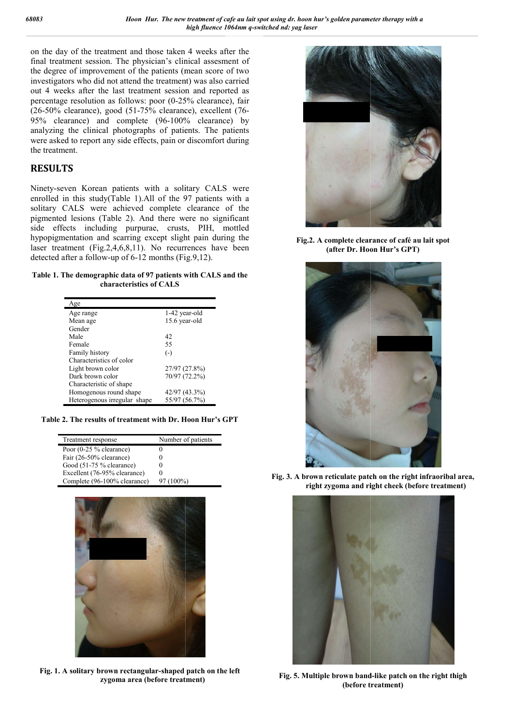on the day of the treatment and those taken 4 weeks after the final treatment session. The physician's clinical assesment of the degree of improvement of the patients (mean score of two investigators who did not attend the treatment) was also carried out 4 weeks after the last treatment session and reported as percentage resolution as follows: poor (0-25% clearance), fair percentage resolution as follows: poor (0-25% clearance), fair (26-50% clearance), good (51-75% clearance), excellent (76-95% clearance) and complete (96-100% clearance) by analyzing the clinical photographs of patients. The patients were asked to report any side effects, pain or discomfort during the treatment.

## **RESULTS**

Ninety-seven Korean patients with a solitary CALS were enrolled in this study(Table 1).All of the 97 patients with a solitary CALS were achieved complete clearance of the pigmented lesions (Table 2). And there were no significant side effects including purpurae, crusts, PIH, mottled hypopigmentation and scarring except slight pain during the laser treatment (Fig.2,4,6,8,11). No recurrences have been detected after a follow-up of 6-12 months (Fig.9,12). arance) and complete (96-100%<br>the clinical photographs of patien<br>d to report any side effects, pain or d<br>ent.<br>**TS**<br>ven Korean patients with a solita<br>n this study(Table 1).All of the 97<br>CALS were achieved complete cl<br>l lesi

#### **Table 1. The demographic data of 97 patients with CALS and the characteristics of CALS**

| Age                          |               |
|------------------------------|---------------|
| Age range                    | 1-42 year-old |
| Mean age                     | 15.6 year-old |
| Gender                       |               |
| Male                         | 42            |
| Female                       | 55            |
| Family history               | $(-)$         |
| Characteristics of color     |               |
| Light brown color            | 27/97 (27.8%) |
| Dark brown color             | 70/97 (72.2%) |
| Characteristic of shape      |               |
| Homogenous round shape       | 42/97 (43.3%) |
| Heterogenous irregular shape | 55/97 (56.7%) |

**Table 2. The results of treatment with Dr. Hoon Hur's GPT**

| Treatment response           | Number of patients |
|------------------------------|--------------------|
| Poor (0-25 % clearance)      |                    |
| Fair (26-50% clearance)      |                    |
| Good (51-75 % clearance)     |                    |
| Excellent (76-95% clearance) |                    |
| Complete (96-100% clearance) | $97(100\%)$        |



**Fig. 1. A solitary brown rectangular-shaped patch on the left zygoma area (before treatment)**



**(after Dr. Hoon Hoon Hur's GPT)** Fig.2. A complete clearance of café au lait spot



**Fig. 3. A brown reticulate patch on the right infraoribal area, right zygoma and right cheek (before treatment)**



**Fig. 5. Multiple brown band (before treatment)**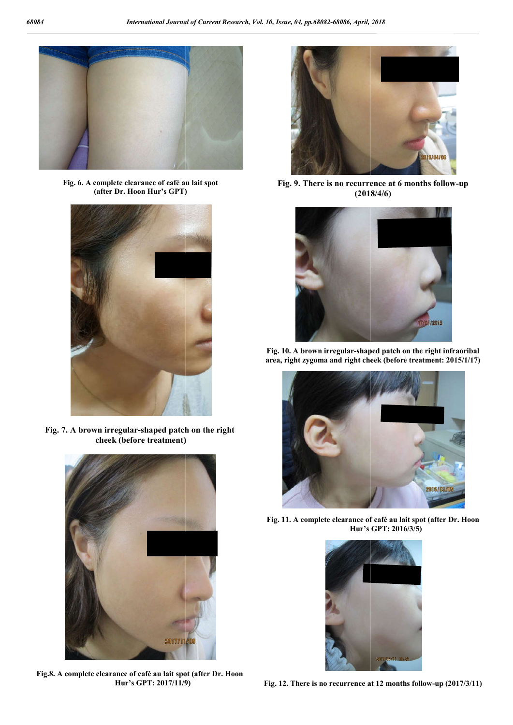

**Fig. 6. A complete clearance of café au lait spot (after Dr. Hoon Hur's GPT)**



**Fig. 7. A brown irregular-shaped patch on the right cheek (before treatment)**



**Fig.8. A complete clearance of café au lait spot (after Dr. Hur's GPT: 2017/11/9)**



Fig. 9. There is no recurrence at 6 months follow-up **(2018/4/6)**



**Fig. 10. A brown irregular-shaped patch on the right infraoribal area, right zygoma and right cheek (before treatment: 2015/1/17)**



**Fig. 11. A complete clearance of Hur's s GPT: 2016/3/5)**



**Fig. 12. There is no recurrence at 12 months follow 12 months follow-up (2017/3/11)**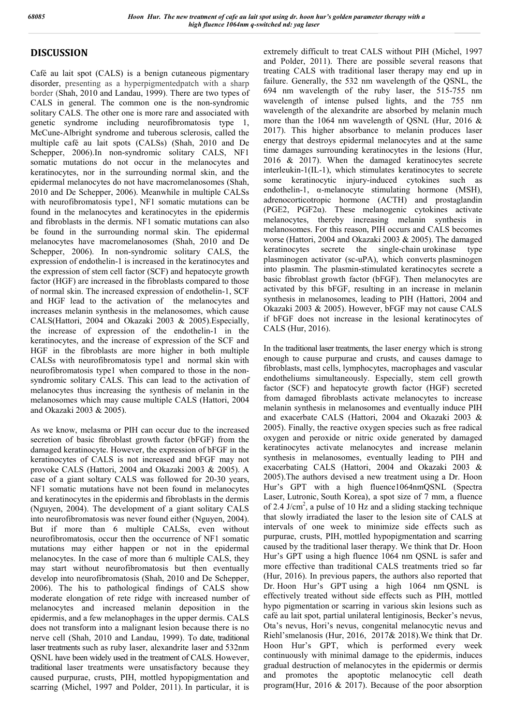# **DISCUSSION**

Café au lait spot (CALS) is a benign cutaneous pigmentary disorder, presenting as a hyperpigmentedpatch with a sharp border (Shah, 2010 and Landau, 1999). There are two types of CALS in general. The common one is the non-syndromic solitary CALS. The other one is more rare and associated with genetic syndrome including neurofibromatosis type 1, McCune-Albright syndrome and tuberous sclerosis, called the multiple café au lait spots (CALSs) (Shah, 2010 and De Schepper, 2006).In non-syndromic solitary CALS, NF1 somatic mutations do not occur in the melanocytes and keratinocytes, nor in the surrounding normal skin, and the epidermal melanocytes do not have macromelanosomes (Shah, 2010 and De Schepper, 2006). Meanwhile in multiple CALSs with neurofibromatosis type1, NF1 somatic mutations can be found in the melanocytes and keratinocytes in the epidermis and fibroblasts in the dermis. NF1 somatic mutations can also be found in the surrounding normal skin. The epidermal melanocytes have macromelanosomes (Shah, 2010 and De Schepper, 2006). In non-syndromic solitary CALS, the expression of endothelin-1 is increased in the keratinocytes and the expression of stem cell factor (SCF) and hepatocyte growth factor (HGF) are increased in the fibroblasts compared to those of normal skin. The increased expression of endothelin-1, SCF and HGF lead to the activation of the melanocytes and increases melanin synthesis in the melanosomes, which cause CALS(Hattori, 2004 and Okazaki 2003 & 2005).Especially, the increase of expression of the endothelin-1 in the keratinocytes, and the increase of expression of the SCF and HGF in the fibroblasts are more higher in both multiple CALSs with neurofibromatosis type1 and normal skin with neurofibromatosis type1 when compared to those in the nonsyndromic solitary CALS. This can lead to the activation of melanocytes thus increasing the synthesis of melanin in the melanosomes which may cause multiple CALS (Hattori, 2004 and Okazaki 2003 & 2005).

As we know, melasma or PIH can occur due to the increased secretion of basic fibroblast growth factor (bFGF) from the damaged keratinocyte. However, the expression of bFGF in the keratinocytes of CALS is not increased and bFGF may not provoke CALS (Hattori, 2004 and Okazaki 2003 & 2005). A case of a giant soltary CALS was followed for 20-30 years, NF1 somatic mutations have not been found in melanocytes and keratinocytes in the epidermis and fibroblasts in the dermis (Nguyen, 2004). The development of a giant solitary CALS into neurofibromatosis was never found either (Nguyen, 2004). But if more than 6 multiple CALSs, even without neurofibromatosis, occur then the occurrence of NF1 somatic mutations may either happen or not in the epidermal melanocytes. In the case of more than 6 multiple CALS, they may start without neurofibromatosis but then eventually develop into neurofibromatosis (Shah, 2010 and De Schepper, 2006). The his to pathological findings of CALS show moderate elongation of rete ridge with increased number of melanocytes and increased melanin deposition in the epidermis, and a few melanophages in the upper dermis. CALS does not transform into a malignant lesion because there is no nerve cell (Shah, 2010 and Landau, 1999). To date, traditional laser treatments such as ruby laser, alexandrite laser and 532nm QSNL have been widely used in the treatment of CALS. However, traditional laser treatments were unsatisfactory because they caused purpurae, crusts, PIH, mottled hypopigmentation and scarring (Michel, 1997 and Polder, 2011). In particular, it is

extremely difficult to treat CALS without PIH (Michel, 1997 and Polder, 2011). There are possible several reasons that treating CALS with traditional laser therapy may end up in failure. Generally, the 532 nm wavelength of the QSNL, the 694 nm wavelength of the ruby laser, the 515-755 nm wavelength of intense pulsed lights, and the 755 nm wavelength of the alexandrite are absorbed by melanin much more than the 1064 nm wavelength of OSNL (Hur, 2016  $&$ 2017). This higher absorbance to melanin produces laser energy that destroys epidermal melanocytes and at the same time damages surrounding keratinocytes in the lesions (Hur, 2016 & 2017). When the damaged keratinocytes secrete interleukin-1(IL-1), which stimulates keratinocytes to secrete some keratinocytic injury-induced cytokines such as endothelin-1, α-melanocyte stimulating hormone (MSH), adrenocorticotropic hormone (ACTH) and prostaglandin (PGE2, PGF2α). These melanogenic cytokines activate melanocytes, thereby increasing melanin synthesis in melanosomes. For this reason, PIH occurs and CALS becomes worse (Hattori, 2004 and Okazaki 2003 & 2005). The damaged keratinocytes secrete the single-chain urokinase type plasminogen activator (sc-uPA), which converts plasminogen into plasmin. The plasmin-stimulated keratinocytes secrete a basic fibroblast growth factor (bFGF). Then melanocytes are activated by this bFGF, resulting in an increase in melanin synthesis in melanosomes, leading to PIH (Hattori, 2004 and Okazaki 2003 & 2005). However, bFGF may not cause CALS if bFGF does not increase in the lesional keratinocytes of CALS (Hur, 2016).

In the traditional laser treatments, the laser energy which is strong enough to cause purpurae and crusts, and causes damage to fibroblasts, mast cells, lymphocytes, macrophages and vascular endotheliums simultaneously. Especially, stem cell growth factor (SCF) and hepatocyte growth factor (HGF) secreted from damaged fibroblasts activate melanocytes to increase melanin synthesis in melanosomes and eventually induce PIH and exacerbate CALS (Hattori, 2004 and Okazaki 2003 & 2005). Finally, the reactive oxygen species such as free radical oxygen and peroxide or nitric oxide generated by damaged keratinocytes activate melanocytes and increase melanin synthesis in melanosomes, eventually leading to PIH and exacerbating CALS (Hattori, 2004 and Okazaki 2003 & 2005).The authors devised a new treatment using a Dr. Hoon Hur's GPT with a high fluence1064nmQSNL (Spectra Laser, Lutronic, South Korea), a spot size of 7 mm, a fluence of 2.4 J/cm<sup>2</sup>, a pulse of 10 Hz and a sliding stacking technique that slowly irradiated the laser to the lesion site of CALS at intervals of one week to minimize side effects such as purpurae, crusts, PIH, mottled hypopigmentation and scarring caused by the traditional laser therapy. We think that Dr. Hoon Hur's GPT using a high fluence 1064 nm QSNL is safer and more effective than traditional CALS treatments tried so far (Hur, 2016). In previous papers, the authors also reported that Dr. Hoon Hur's GPT using a high 1064 nm QSNL is effectively treated without side effects such as PIH, mottled hypo pigmentation or scarring in various skin lesions such as café au lait spot, partial unilateral lentiginosis, Becker's nevus, Ota's nevus, Hori's nevus, congenital melanocytic nevus and Riehl'smelanosis (Hur, 2016, 2017& 2018).We think that Dr. Hoon Hur's GPT, which is performed every week continuously with minimal damage to the epidermis, induces gradual destruction of melanocytes in the epidermis or dermis and promotes the apoptotic melanocytic cell death program(Hur, 2016 & 2017). Because of the poor absorption